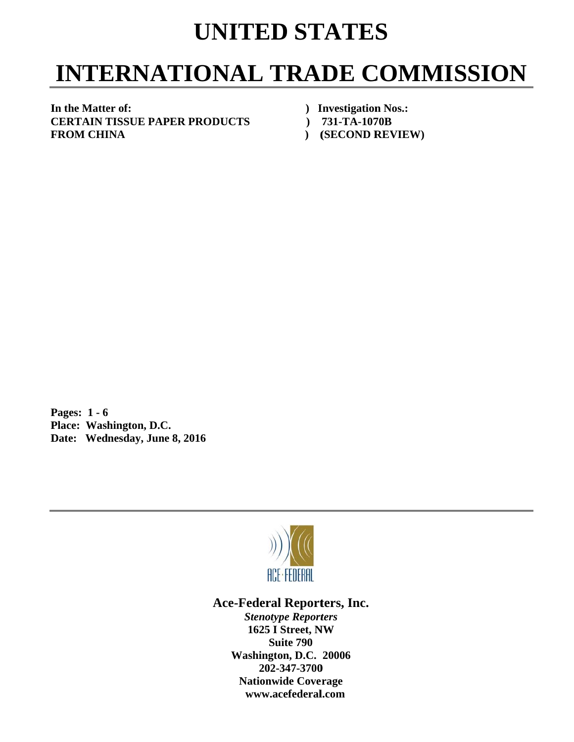## **UNITED STATES**

## **INTERNATIONAL TRADE COMMISSION**

In the Matter of: **C CERTAIN T TISSUE PA APER PROD DUCTS F FROM CHI INA** 

- *Investigation Nos.:*
- *()* **731-TA-1070B**
- **) ( (SECOND R REVIEW)**

**P Pages: 1 - 6** Pages: 1 - 6<br>Place: Washington, D.C. Date: Wednesday, June 8, 2016



Ace-Federal Reporters, Inc.

**Stenotype Reporters 1625 I Street, NW Washin gton, D.C. 20006 20 02-347-3700** 202-347-3700<br>Nationwide Coverage **www w.acefederal l.com Suite 790**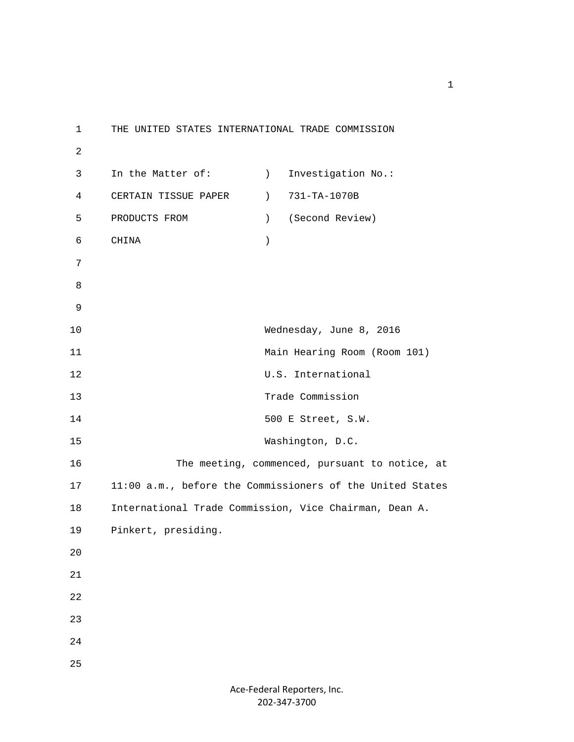1 THE UNITED STATES INTERNATIONAL TRADE COMMISSION 2 3 In the Matter of: (a) Investigation No.: 4 CERTAIN TISSUE PAPER ) 731-TA-1070B 5 PRODUCTS FROM ) (Second Review) 6 CHINA ) 7 8 9 10 Wednesday, June 8, 2016 11 Main Hearing Room (Room 101) 12 U.S. International 13 Trade Commission 14 500 E Street, S.W. 15 Washington, D.C. 16 The meeting, commenced, pursuant to notice, at 17 11:00 a.m., before the Commissioners of the United States 18 International Trade Commission, Vice Chairman, Dean A. 19 Pinkert, presiding. 20 21 22 23 24 25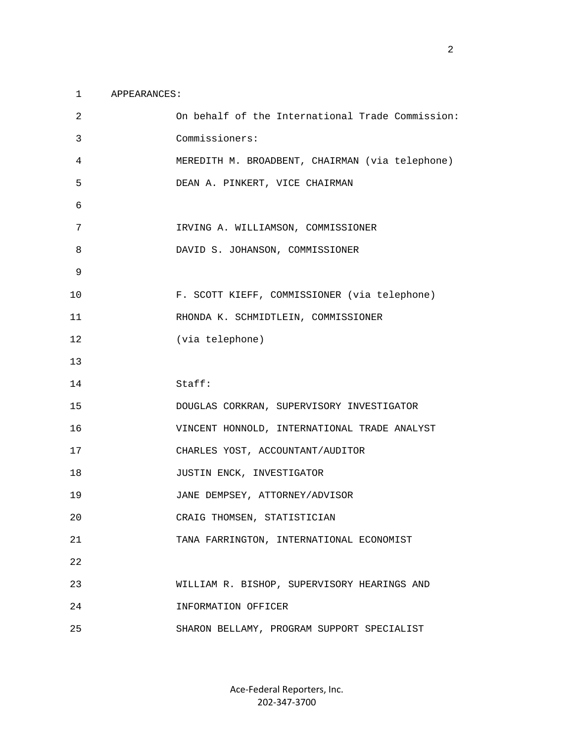## 1 APPEARANCES:

| 2  | On behalf of the International Trade Commission: |
|----|--------------------------------------------------|
| 3  | Commissioners:                                   |
| 4  | MEREDITH M. BROADBENT, CHAIRMAN (via telephone)  |
| 5  | DEAN A. PINKERT, VICE CHAIRMAN                   |
| 6  |                                                  |
| 7  | IRVING A. WILLIAMSON, COMMISSIONER               |
| 8  | DAVID S. JOHANSON, COMMISSIONER                  |
| 9  |                                                  |
| 10 | F. SCOTT KIEFF, COMMISSIONER (via telephone)     |
| 11 | RHONDA K. SCHMIDTLEIN, COMMISSIONER              |
| 12 | (via telephone)                                  |
| 13 |                                                  |
| 14 | Staff:                                           |
|    |                                                  |
| 15 | DOUGLAS CORKRAN, SUPERVISORY INVESTIGATOR        |
| 16 | VINCENT HONNOLD, INTERNATIONAL TRADE ANALYST     |
| 17 | CHARLES YOST, ACCOUNTANT/AUDITOR                 |
| 18 | JUSTIN ENCK, INVESTIGATOR                        |
| 19 | JANE DEMPSEY, ATTORNEY/ADVISOR                   |
| 20 | CRAIG THOMSEN, STATISTICIAN                      |
| 21 | TANA FARRINGTON, INTERNATIONAL ECONOMIST         |
| 22 |                                                  |
| 23 | WILLIAM R. BISHOP, SUPERVISORY HEARINGS AND      |
| 24 | INFORMATION OFFICER                              |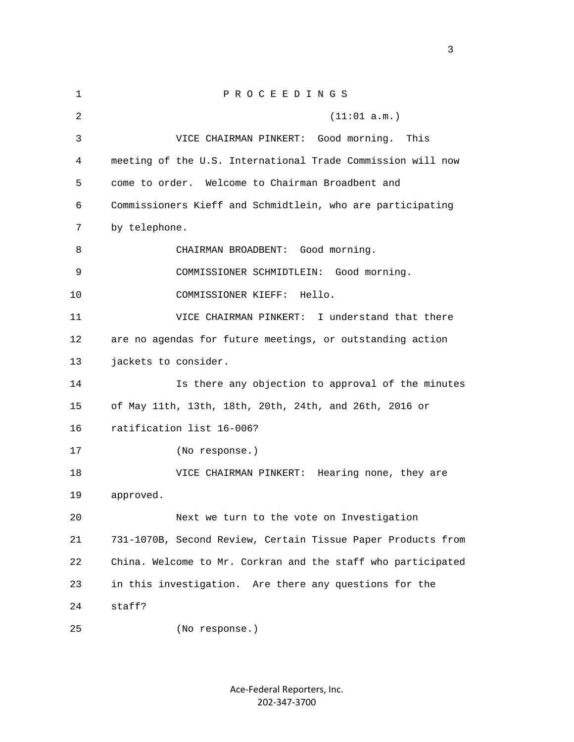| 1  | PROCEEDINGS                                                  |
|----|--------------------------------------------------------------|
| 2  | (11:01 a.m.)                                                 |
| 3  | VICE CHAIRMAN PINKERT:<br>Good morning.<br>This              |
| 4  | meeting of the U.S. International Trade Commission will now  |
| 5  | Welcome to Chairman Broadbent and<br>come to order.          |
| 6  | Commissioners Kieff and Schmidtlein, who are participating   |
| 7  | by telephone.                                                |
| 8  | CHAIRMAN BROADBENT: Good morning.                            |
| 9  | COMMISSIONER SCHMIDTLEIN: Good morning.                      |
| 10 | COMMISSIONER KIEFF:<br>Hello.                                |
| 11 | I understand that there<br>VICE CHAIRMAN PINKERT:            |
| 12 | are no agendas for future meetings, or outstanding action    |
| 13 | jackets to consider.                                         |
| 14 | Is there any objection to approval of the minutes            |
| 15 | of May 11th, 13th, 18th, 20th, 24th, and 26th, 2016 or       |
| 16 | ratification list 16-006?                                    |
| 17 | (No response.)                                               |
| 18 | VICE CHAIRMAN PINKERT:<br>Hearing none, they are             |
| 19 | approved.                                                    |
| 20 | Next we turn to the vote on Investigation                    |
| 21 | 731-1070B, Second Review, Certain Tissue Paper Products from |
| 22 | China. Welcome to Mr. Corkran and the staff who participated |
| 23 | in this investigation. Are there any questions for the       |
| 24 | staff?                                                       |
| 25 | (No response.)                                               |

Ace‐Federal Reporters, Inc. 202‐347‐3700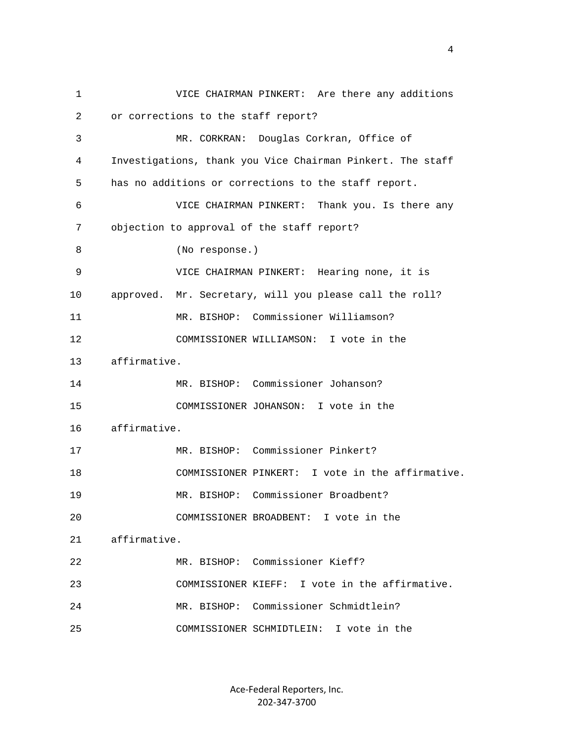1 VICE CHAIRMAN PINKERT: Are there any additions 2 or corrections to the staff report? 3 MR. CORKRAN: Douglas Corkran, Office of 4 Investigations, thank you Vice Chairman Pinkert. The staff 5 has no additions or corrections to the staff report. 6 VICE CHAIRMAN PINKERT: Thank you. Is there any 7 objection to approval of the staff report? 8 (No response.) 9 VICE CHAIRMAN PINKERT: Hearing none, it is 10 approved. Mr. Secretary, will you please call the roll? 11 MR. BISHOP: Commissioner Williamson? 12 COMMISSIONER WILLIAMSON: I vote in the 13 affirmative. 14 MR. BISHOP: Commissioner Johanson? 15 COMMISSIONER JOHANSON: I vote in the 16 affirmative. 17 MR. BISHOP: Commissioner Pinkert? 18 COMMISSIONER PINKERT: I vote in the affirmative. 19 MR. BISHOP: Commissioner Broadbent? 20 COMMISSIONER BROADBENT: I vote in the 21 affirmative. 22 MR. BISHOP: Commissioner Kieff? 23 COMMISSIONER KIEFF: I vote in the affirmative. 24 MR. BISHOP: Commissioner Schmidtlein? 25 COMMISSIONER SCHMIDTLEIN: I vote in the

> Ace‐Federal Reporters, Inc. 202‐347‐3700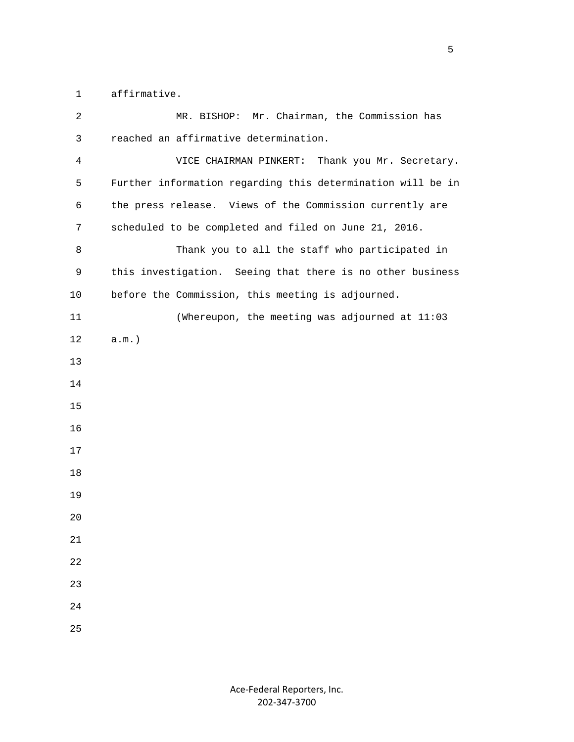1 affirmative.

| 2  | Mr. Chairman, the Commission has<br>MR. BISHOP:             |
|----|-------------------------------------------------------------|
| 3  | reached an affirmative determination.                       |
| 4  | VICE CHAIRMAN PINKERT:<br>Thank you Mr. Secretary.          |
| 5  | Further information regarding this determination will be in |
| 6  | the press release. Views of the Commission currently are    |
| 7  | scheduled to be completed and filed on June 21, 2016.       |
| 8  | Thank you to all the staff who participated in              |
| 9  | this investigation. Seeing that there is no other business  |
| 10 | before the Commission, this meeting is adjourned.           |
| 11 | (Whereupon, the meeting was adjourned at 11:03              |
| 12 | $a.m.$ )                                                    |
| 13 |                                                             |
| 14 |                                                             |
| 15 |                                                             |
| 16 |                                                             |
| 17 |                                                             |
| 18 |                                                             |
| 19 |                                                             |
| 20 |                                                             |
| 21 |                                                             |
| 22 |                                                             |
| 23 |                                                             |
| 24 |                                                             |
| 25 |                                                             |